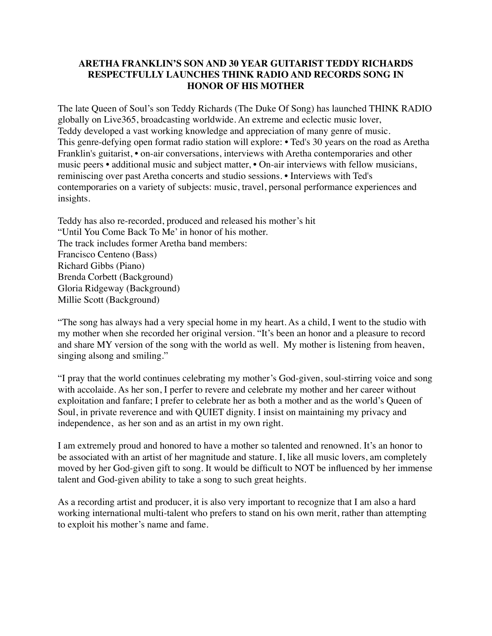## **ARETHA FRANKLIN'S SON AND 30 YEAR GUITARIST TEDDY RICHARDS RESPECTFULLY LAUNCHES THINK RADIO AND RECORDS SONG IN HONOR OF HIS MOTHER**

The late Queen of Soul's son Teddy Richards (The Duke Of Song) has launched THINK RADIO globally on Live365, broadcasting worldwide. An extreme and eclectic music lover, Teddy developed a vast working knowledge and appreciation of many genre of music. This genre-defying open format radio station will explore: • Ted's 30 years on the road as Aretha Franklin's guitarist, • on-air conversations, interviews with Aretha contemporaries and other music peers • additional music and subject matter, • On-air interviews with fellow musicians, reminiscing over past Aretha concerts and studio sessions. • Interviews with Ted's contemporaries on a variety of subjects: music, travel, personal performance experiences and insights.

Teddy has also re-recorded, produced and released his mother's hit "Until You Come Back To Me' in honor of his mother. The track includes former Aretha band members: Francisco Centeno (Bass) Richard Gibbs (Piano) Brenda Corbett (Background) Gloria Ridgeway (Background) Millie Scott (Background)

"The song has always had a very special home in my heart. As a child, I went to the studio with my mother when she recorded her original version. "It's been an honor and a pleasure to record and share MY version of the song with the world as well. My mother is listening from heaven, singing alsong and smiling."

"I pray that the world continues celebrating my mother's God-given, soul-stirring voice and song with accolaide. As her son, I perfer to revere and celebrate my mother and her career without exploitation and fanfare; I prefer to celebrate her as both a mother and as the world's Queen of Soul, in private reverence and with QUIET dignity. I insist on maintaining my privacy and independence, as her son and as an artist in my own right.

I am extremely proud and honored to have a mother so talented and renowned. It's an honor to be associated with an artist of her magnitude and stature. I, like all music lovers, am completely moved by her God-given gift to song. It would be difficult to NOT be influenced by her immense talent and God-given ability to take a song to such great heights.

As a recording artist and producer, it is also very important to recognize that I am also a hard working international multi-talent who prefers to stand on his own merit, rather than attempting to exploit his mother's name and fame.